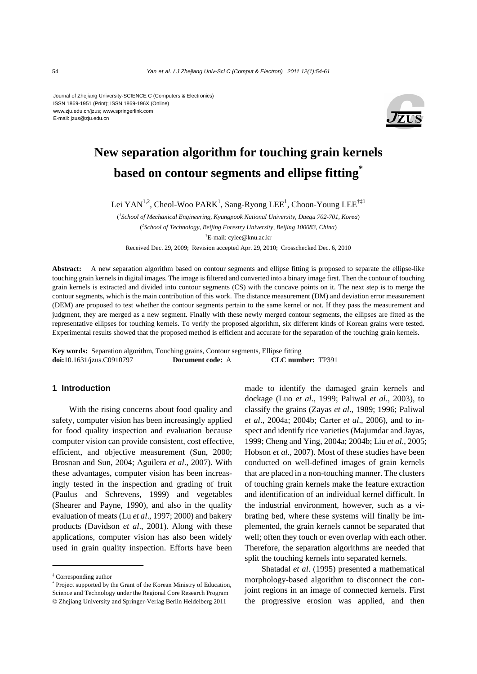Journal of Zhejiang University-SCIENCE C (Computers & Electronics) ISSN 1869-1951 (Print); ISSN 1869-196X (Online) www.zju.edu.cn/jzus; www.springerlink.com E-mail: jzus@zju.edu.cn



# **New separation algorithm for touching grain kernels based on contour segments and ellipse fitting\***

Lei YAN<sup>1,2</sup>, Cheol-Woo PARK<sup>1</sup>, Sang-Ryong LEE<sup>1</sup>, Choon-Young LEE<sup>†‡1</sup>

( *1 School of Mechanical Engineering, Kyungpook National University, Daegu 702-701, Korea*) ( *2 School of Technology, Beijing Forestry University, Beijing 100083, China*) † E-mail: cylee@knu.ac.kr Received Dec. 29, 2009; Revision accepted Apr. 29, 2010; Crosschecked Dec. 6, 2010

**Abstract:** A new separation algorithm based on contour segments and ellipse fitting is proposed to separate the ellipse-like touching grain kernels in digital images. The image is filtered and converted into a binary image first. Then the contour of touching grain kernels is extracted and divided into contour segments (CS) with the concave points on it. The next step is to merge the contour segments, which is the main contribution of this work. The distance measurement (DM) and deviation error measurement (DEM) are proposed to test whether the contour segments pertain to the same kernel or not. If they pass the measurement and judgment, they are merged as a new segment. Finally with these newly merged contour segments, the ellipses are fitted as the representative ellipses for touching kernels. To verify the proposed algorithm, six different kinds of Korean grains were tested. Experimental results showed that the proposed method is efficient and accurate for the separation of the touching grain kernels.

**Key words:** Separation algorithm, Touching grains, Contour segments, Ellipse fitting **doi:**10.1631/jzus.C0910797 **Document code:** A **CLC number:** TP391

## **1 Introduction**

With the rising concerns about food quality and safety, computer vision has been increasingly applied for food quality inspection and evaluation because computer vision can provide consistent, cost effective, efficient, and objective measurement (Sun, 2000; Brosnan and Sun, 2004; Aguilera *et al*., 2007). With these advantages, computer vision has been increasingly tested in the inspection and grading of fruit (Paulus and Schrevens, 1999) and vegetables (Shearer and Payne, 1990), and also in the quality evaluation of meats (Lu *et al*., 1997; 2000) and bakery products (Davidson *et al*., 2001). Along with these applications, computer vision has also been widely used in grain quality inspection. Efforts have been

made to identify the damaged grain kernels and dockage (Luo *et al*., 1999; Paliwal *et al*., 2003), to classify the grains (Zayas *et al*., 1989; 1996; Paliwal *et al*., 2004a; 2004b; Carter *et al*., 2006), and to inspect and identify rice varieties (Majumdar and Jayas, 1999; Cheng and Ying, 2004a; 2004b; Liu *et al*., 2005; Hobson *et al*., 2007). Most of these studies have been conducted on well-defined images of grain kernels that are placed in a non-touching manner. The clusters of touching grain kernels make the feature extraction and identification of an individual kernel difficult. In the industrial environment, however, such as a vibrating bed, where these systems will finally be implemented, the grain kernels cannot be separated that well; often they touch or even overlap with each other. Therefore, the separation algorithms are needed that split the touching kernels into separated kernels.

Shatadal *et al*. (1995) presented a mathematical morphology-based algorithm to disconnect the conjoint regions in an image of connected kernels. First the progressive erosion was applied, and then

<sup>‡</sup> Corresponding author

<sup>\*</sup> Project supported by the Grant of the Korean Ministry of Education, Science and Technology under the Regional Core Research Program © Zhejiang University and Springer-Verlag Berlin Heidelberg 2011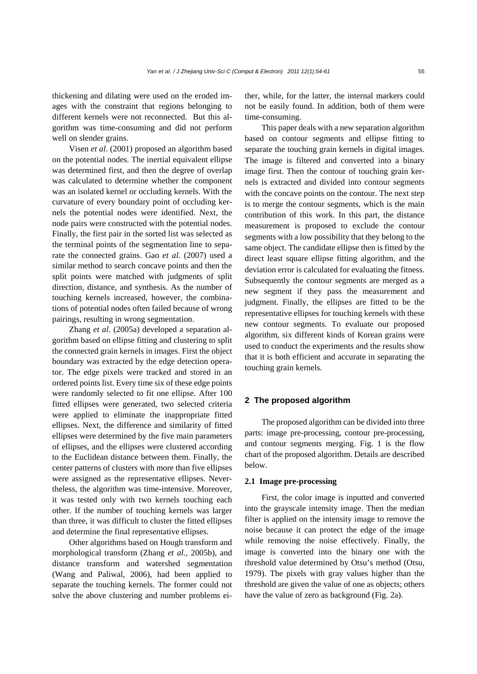thickening and dilating were used on the eroded images with the constraint that regions belonging to different kernels were not reconnected. But this algorithm was time-consuming and did not perform well on slender grains.

Visen *et al*. (2001) proposed an algorithm based on the potential nodes. The inertial equivalent ellipse was determined first, and then the degree of overlap was calculated to determine whether the component was an isolated kernel or occluding kernels. With the curvature of every boundary point of occluding kernels the potential nodes were identified. Next, the node pairs were constructed with the potential nodes. Finally, the first pair in the sorted list was selected as the terminal points of the segmentation line to separate the connected grains. Gao *et al*. (2007) used a similar method to search concave points and then the split points were matched with judgments of split direction, distance, and synthesis. As the number of touching kernels increased, however, the combinations of potential nodes often failed because of wrong pairings, resulting in wrong segmentation.

Zhang *et al*. (2005a) developed a separation algorithm based on ellipse fitting and clustering to split the connected grain kernels in images. First the object boundary was extracted by the edge detection operator. The edge pixels were tracked and stored in an ordered points list. Every time six of these edge points were randomly selected to fit one ellipse. After 100 fitted ellipses were generated, two selected criteria were applied to eliminate the inappropriate fitted ellipses. Next, the difference and similarity of fitted ellipses were determined by the five main parameters of ellipses, and the ellipses were clustered according to the Euclidean distance between them. Finally, the center patterns of clusters with more than five ellipses were assigned as the representative ellipses. Nevertheless, the algorithm was time-intensive. Moreover, it was tested only with two kernels touching each other. If the number of touching kernels was larger than three, it was difficult to cluster the fitted ellipses and determine the final representative ellipses.

Other algorithms based on Hough transform and morphological transform (Zhang *et al.*, 2005b), and distance transform and watershed segmentation (Wang and Paliwal, 2006), had been applied to separate the touching kernels. The former could not solve the above clustering and number problems either, while, for the latter, the internal markers could not be easily found. In addition, both of them were time-consuming.

This paper deals with a new separation algorithm based on contour segments and ellipse fitting to separate the touching grain kernels in digital images. The image is filtered and converted into a binary image first. Then the contour of touching grain kernels is extracted and divided into contour segments with the concave points on the contour. The next step is to merge the contour segments, which is the main contribution of this work. In this part, the distance measurement is proposed to exclude the contour segments with a low possibility that they belong to the same object. The candidate ellipse then is fitted by the direct least square ellipse fitting algorithm, and the deviation error is calculated for evaluating the fitness. Subsequently the contour segments are merged as a new segment if they pass the measurement and judgment. Finally, the ellipses are fitted to be the representative ellipses for touching kernels with these new contour segments. To evaluate our proposed algorithm, six different kinds of Korean grains were used to conduct the experiments and the results show that it is both efficient and accurate in separating the touching grain kernels.

## **2 The proposed algorithm**

The proposed algorithm can be divided into three parts: image pre-processing, contour pre-processing, and contour segments merging. Fig. 1 is the flow chart of the proposed algorithm. Details are described below.

### **2.1 Image pre-processing**

First, the color image is inputted and converted into the grayscale intensity image. Then the median filter is applied on the intensity image to remove the noise because it can protect the edge of the image while removing the noise effectively. Finally, the image is converted into the binary one with the threshold value determined by Otsu's method (Otsu, 1979). The pixels with gray values higher than the threshold are given the value of one as objects; others have the value of zero as background (Fig. 2a).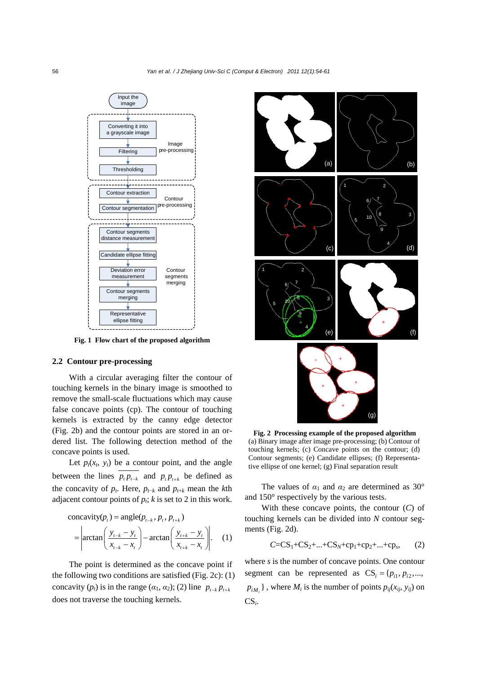

**Fig. 1 Flow chart of the proposed algorithm** 

#### **2.2 Contour pre-processing**

With a circular averaging filter the contour of touching kernels in the binary image is smoothed to remove the small-scale fluctuations which may cause false concave points (cp). The contour of touching kernels is extracted by the canny edge detector (Fig. 2b) and the contour points are stored in an ordered list. The following detection method of the concave points is used.

Let  $p_t(x_t, y_t)$  be a contour point, and the angle between the lines  $\overline{p_t p_{t-k}}$  and  $p_t p_{t+k}$  be defined as the concavity of  $p_t$ . Here,  $p_{t-k}$  and  $p_{t+k}$  mean the *k*th adjacent contour points of  $p_i$ ;  $k$  is set to 2 in this work.

concavity
$$
(p_t)
$$
 = angle $(p_{t-k}, p_t, p_{t+k})$   
=\begin{vmatrix} arctan  $\left( \frac{y_{t-k} - y_t}{x_{t-k} - x_t} \right)$  - arctan  $\left( \frac{y_{t+k} - y_t}{x_{t+k} - x_t} \right)$ . (1)

The point is determined as the concave point if the following two conditions are satisfied (Fig. 2c): (1) concavity  $(p_t)$  is in the range  $(\alpha_1, \alpha_2)$ ; (2) line  $p_{t-k} p_{t+k}$ does not traverse the touching kernels.



**Fig. 2 Processing example of the proposed algorithm** (a) Binary image after image pre-processing; (b) Contour of touching kernels; (c) Concave points on the contour; (d) Contour segments; (e) Candidate ellipses; (f) Representative ellipse of one kernel; (g) Final separation result

The values of  $\alpha_1$  and  $\alpha_2$  are determined as 30° and 150° respectively by the various tests.

With these concave points, the contour (*C*) of touching kernels can be divided into *N* contour segments (Fig. 2d).

$$
C = CS_1 + CS_2 + \dots + CS_N + cp_1 + cp_2 + \dots + cp_s, \qquad (2)
$$

where *s* is the number of concave points. One contour segment can be represented as  $CS_i = \{p_{i1}, p_{i2}, \ldots, p_{i n}\}$  $p_{iM_i}$  , where  $M_i$  is the number of points  $p_{ij}(x_{ij}, y_{ij})$  on  $CS_i$ .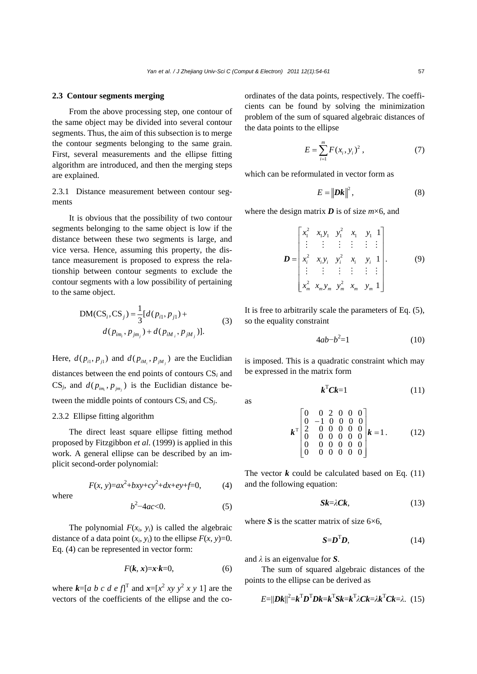#### **2.3 Contour segments merging**

From the above processing step, one contour of the same object may be divided into several contour segments. Thus, the aim of this subsection is to merge the contour segments belonging to the same grain. First, several measurements and the ellipse fitting algorithm are introduced, and then the merging steps are explained.

2.3.1 Distance measurement between contour segments

It is obvious that the possibility of two contour segments belonging to the same object is low if the distance between these two segments is large, and vice versa. Hence, assuming this property, the distance measurement is proposed to express the relationship between contour segments to exclude the contour segments with a low possibility of pertaining to the same object.

$$
DM(CSi, CSj) = \frac{1}{3}[d(pii, pji) +d(pimi, pjmj) + d(piMi, pjMj)].
$$
 (3)

Here,  $d(p_{i1}, p_{j1})$  and  $d(p_{iM_i}, p_{jM_i})$  are the Euclidian distances between the end points of contours  $CS_i$  and  $CS_j$ , and  $d(p_{im_i}, p_{jm_i})$  is the Euclidian distance between the middle points of contours  $CS_i$  and  $CS_j$ .

## 2.3.2 Ellipse fitting algorithm

The direct least square ellipse fitting method proposed by Fitzgibbon *et al*. (1999) is applied in this work. A general ellipse can be described by an implicit second-order polynomial:

where

$$
b^2 - 4ac < 0. \tag{5}
$$

 $F(x, y) = ax^2 + bxy + cy^2 + dx + ey + f = 0,$  (4)

The polynomial  $F(x_i, y_i)$  is called the algebraic distance of a data point  $(x_i, y_i)$  to the ellipse  $F(x, y)=0$ . Eq. (4) can be represented in vector form:

$$
F(k, x)=x \cdot k=0,\t(6)
$$

where  $\mathbf{k} = [a \ b \ c \ d \ e \ f]^T$  and  $\mathbf{x} = [x^2 \ xy \ y^2 \ x \ y \ 1]$  are the vectors of the coefficients of the ellipse and the coordinates of the data points, respectively. The coefficients can be found by solving the minimization problem of the sum of squared algebraic distances of the data points to the ellipse

$$
E = \sum_{i=1}^{m} F(x_i, y_i)^2, \qquad (7)
$$

which can be reformulated in vector form as

$$
E = \left\| \mathbf{D} \mathbf{k} \right\|^2, \tag{8}
$$

where the design matrix  $\boldsymbol{D}$  is of size  $m \times 6$ , and

$$
\mathbf{D} = \begin{bmatrix} x_1^2 & x_1 y_1 & y_1^2 & x_1 & y_1 & 1 \\ \vdots & \vdots & \vdots & \vdots & \vdots & \vdots \\ x_i^2 & x_i y_i & y_i^2 & x_i & y_i & 1 \\ \vdots & \vdots & \vdots & \vdots & \vdots & \vdots \\ x_m^2 & x_m y_m & y_m^2 & x_m & y_m & 1 \end{bmatrix} .
$$
 (9)

It is free to arbitrarily scale the parameters of Eq. (5), so the equality constraint

$$
4ab - b^2 = 1 \tag{10}
$$

is imposed. This is a quadratic constraint which may be expressed in the matrix form

$$
\boldsymbol{k}^{\mathrm{T}} \boldsymbol{C} \boldsymbol{k} = 1 \tag{11}
$$

$$
\boldsymbol{k}^{\text{T}}\begin{bmatrix} 0 & 0 & 2 & 0 & 0 & 0 \\ 0 & -1 & 0 & 0 & 0 & 0 \\ 2 & 0 & 0 & 0 & 0 & 0 \\ 0 & 0 & 0 & 0 & 0 & 0 \\ 0 & 0 & 0 & 0 & 0 & 0 \\ 0 & 0 & 0 & 0 & 0 & 0 \end{bmatrix}\boldsymbol{k} = 1.
$$
 (12)

The vector  $\boldsymbol{k}$  could be calculated based on Eq. (11) and the following equation:

$$
Sk = \lambda Ck, \tag{13}
$$

where  $S$  is the scatter matrix of size  $6\times6$ ,

$$
S = D^{\mathrm{T}} D,\tag{14}
$$

and *λ* is an eigenvalue for *S*.

as

The sum of squared algebraic distances of the points to the ellipse can be derived as

$$
E=||Dk||^{2}=k^{T}D^{T}Dk=k^{T}Sk=k^{T}\lambda Ck=\lambda k^{T}Ck=\lambda.
$$
 (15)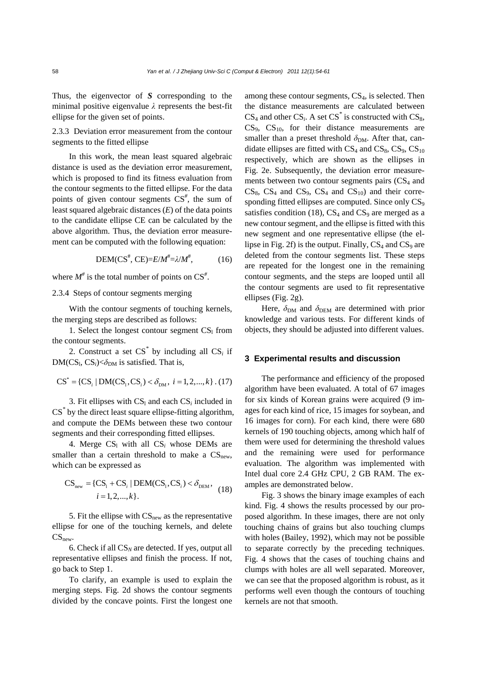Thus, the eigenvector of *S* corresponding to the minimal positive eigenvalue *λ* represents the best-fit ellipse for the given set of points.

2.3.3 Deviation error measurement from the contour segments to the fitted ellipse

In this work, the mean least squared algebraic distance is used as the deviation error measurement, which is proposed to find its fitness evaluation from the contour segments to the fitted ellipse. For the data points of given contour segments CS*#* , the sum of least squared algebraic distances (*E*) of the data points to the candidate ellipse CE can be calculated by the above algorithm. Thus, the deviation error measurement can be computed with the following equation:

$$
DEM(CS^*, CE) = E/M^* = \lambda/M^*, \tag{16}
$$

where  $M^{\#}$  is the total number of points on  $CS^{\#}$ .

## 2.3.4 Steps of contour segments merging

With the contour segments of touching kernels, the merging steps are described as follows:

1. Select the longest contour segment  $CS<sub>1</sub>$  from the contour segments.

2. Construct a set  $CS^*$  by including all  $CS_i$  if  $DM(CS<sub>1</sub>, CS<sub>i</sub>) < \delta_{DM}$  is satisfied. That is,

$$
CS^* = \{ CS_i \mid DM(CS_1, CS_i) < \delta_{DM}, \ i = 1, 2, \dots, k \} \ . \ (17)
$$

3. Fit ellipses with  $CS<sub>1</sub>$  and each  $CS<sub>i</sub>$  included in CS*\** by the direct least square ellipse-fitting algorithm, and compute the DEMs between these two contour segments and their corresponding fitted ellipses.

4. Merge  $CS_1$  with all  $CS_i$  whose DEMs are smaller than a certain threshold to make a  $CS<sub>new</sub>$ , which can be expressed as

$$
CS_{new} = \{ CS_{1} + CS_{i} \mid DEM(CS_{1}, CS_{i}) < \delta_{DEM}, \quad (18) \quad i = 1, 2, ..., k \}.
$$

5. Fit the ellipse with  $CS<sub>new</sub>$  as the representative ellipse for one of the touching kernels, and delete  $CS<sub>new</sub>$ .

6. Check if all  $CS_N$  are detected. If yes, output all representative ellipses and finish the process. If not, go back to Step 1.

To clarify, an example is used to explain the merging steps. Fig. 2d shows the contour segments divided by the concave points. First the longest one among these contour segments,  $CS<sub>4</sub>$ , is selected. Then the distance measurements are calculated between  $CS_4$  and other  $CS_i$ . A set  $CS^*$  is constructed with  $CS_8$ ,  $CS<sub>9</sub>$ ,  $CS<sub>10</sub>$ , for their distance measurements are smaller than a preset threshold  $\delta_{DM}$ . After that, candidate ellipses are fitted with  $CS_4$  and  $CS_8$ ,  $CS_9$ ,  $CS_{10}$ respectively, which are shown as the ellipses in Fig. 2e. Subsequently, the deviation error measurements between two contour segments pairs  $(CS<sub>4</sub>$  and  $CS_8$ ,  $CS_4$  and  $CS_9$ ,  $CS_4$  and  $CS_{10}$ ) and their corresponding fitted ellipses are computed. Since only CS<sub>9</sub> satisfies condition (18),  $CS_4$  and  $CS_9$  are merged as a new contour segment, and the ellipse is fitted with this new segment and one representative ellipse (the ellipse in Fig. 2f) is the output. Finally,  $CS_4$  and  $CS_9$  are deleted from the contour segments list. These steps are repeated for the longest one in the remaining contour segments, and the steps are looped until all the contour segments are used to fit representative ellipses (Fig. 2g).

Here,  $\delta_{DM}$  and  $\delta_{DEM}$  are determined with prior knowledge and various tests. For different kinds of objects, they should be adjusted into different values.

#### **3 Experimental results and discussion**

The performance and efficiency of the proposed algorithm have been evaluated. A total of 67 images for six kinds of Korean grains were acquired (9 images for each kind of rice, 15 images for soybean, and 16 images for corn). For each kind, there were 680 kernels of 190 touching objects, among which half of them were used for determining the threshold values and the remaining were used for performance evaluation. The algorithm was implemented with Intel dual core 2.4 GHz CPU, 2 GB RAM. The examples are demonstrated below.

Fig. 3 shows the binary image examples of each kind. Fig. 4 shows the results processed by our proposed algorithm. In these images, there are not only touching chains of grains but also touching clumps with holes (Bailey, 1992), which may not be possible to separate correctly by the preceding techniques. Fig. 4 shows that the cases of touching chains and clumps with holes are all well separated. Moreover, we can see that the proposed algorithm is robust, as it performs well even though the contours of touching kernels are not that smooth.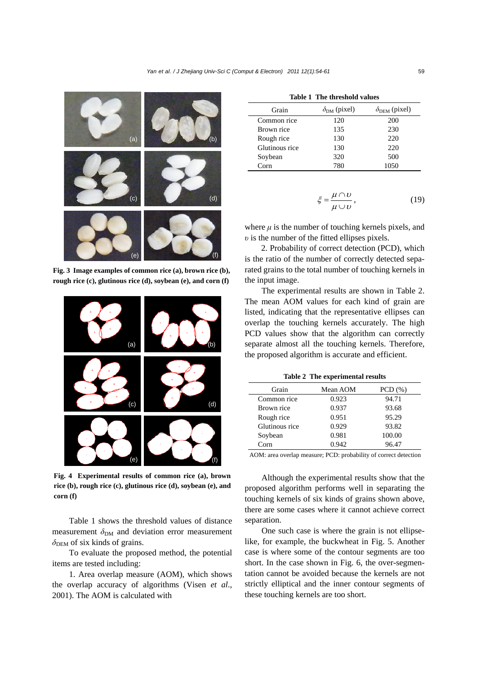

**Fig. 3 Image examples of common rice (a), brown rice (b), rough rice (c), glutinous rice (d), soybean (e), and corn (f)**



**Fig. 4 Experimental results of common rice (a), brown rice (b), rough rice (c), glutinous rice (d), soybean (e), and corn (f)**

Table 1 shows the threshold values of distance measurement  $\delta_{DM}$  and deviation error measurement  $\delta_{\text{DEM}}$  of six kinds of grains.

To evaluate the proposed method, the potential items are tested including:

1. Area overlap measure (AOM), which shows the overlap accuracy of algorithms (Visen *et al*., 2001). The AOM is calculated with

| <b>Table 1 The threshold values</b> |                       |                            |  |
|-------------------------------------|-----------------------|----------------------------|--|
| Grain                               | $\delta_{DM}$ (pixel) | $\delta_{\rm DEM}$ (pixel) |  |
| Common rice                         | 120                   | 200                        |  |
| Brown rice                          | 135                   | 230                        |  |
| Rough rice                          | 130                   | 220                        |  |
| Glutinous rice                      | 130                   | 220                        |  |
| Soybean                             | 320                   | 500                        |  |
| Corn                                | 780                   | 1050                       |  |

$$
\xi = \frac{\mu \cap \upsilon}{\mu \cup \upsilon},\tag{19}
$$

where  $\mu$  is the number of touching kernels pixels, and *υ* is the number of the fitted ellipses pixels.

2. Probability of correct detection (PCD), which is the ratio of the number of correctly detected separated grains to the total number of touching kernels in the input image.

The experimental results are shown in Table 2. The mean AOM values for each kind of grain are listed, indicating that the representative ellipses can overlap the touching kernels accurately. The high PCD values show that the algorithm can correctly separate almost all the touching kernels. Therefore, the proposed algorithm is accurate and efficient.

**Table 2 The experimental results**

| Mean AOM | $PCD$ $(\%)$ |
|----------|--------------|
| 0.923    | 94.71        |
| 0.937    | 93.68        |
| 0.951    | 95.29        |
| 0.929    | 93.82        |
| 0.981    | 100.00       |
| 0.942    | 96.47        |
|          |              |

AOM: area overlap measure; PCD: probability of correct detection

Although the experimental results show that the proposed algorithm performs well in separating the touching kernels of six kinds of grains shown above, there are some cases where it cannot achieve correct separation.

One such case is where the grain is not ellipselike, for example, the buckwheat in Fig. 5. Another case is where some of the contour segments are too short. In the case shown in Fig. 6, the over-segmentation cannot be avoided because the kernels are not strictly elliptical and the inner contour segments of these touching kernels are too short.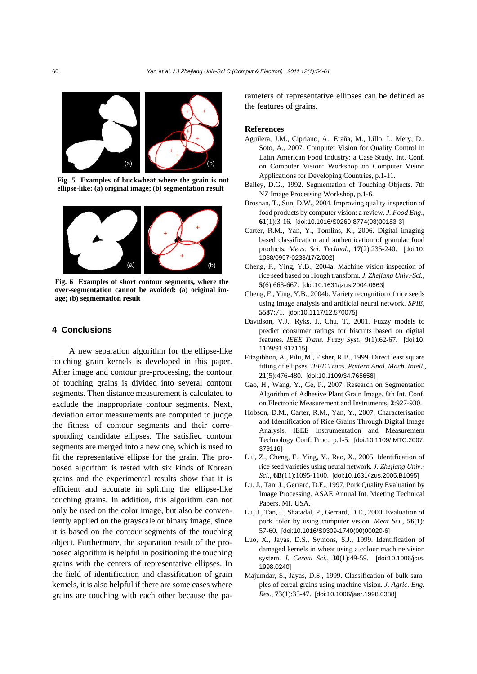

**Fig. 5 Examples of buckwheat where the grain is not ellipse-like: (a) original image; (b) segmentation result**



**Fig. 6 Examples of short contour segments, where the over-segmentation cannot be avoided: (a) original image; (b) segmentation result**

### **4 Conclusions**

A new separation algorithm for the ellipse-like touching grain kernels is developed in this paper. After image and contour pre-processing, the contour of touching grains is divided into several contour segments. Then distance measurement is calculated to exclude the inappropriate contour segments. Next, deviation error measurements are computed to judge the fitness of contour segments and their corresponding candidate ellipses. The satisfied contour segments are merged into a new one, which is used to fit the representative ellipse for the grain. The proposed algorithm is tested with six kinds of Korean grains and the experimental results show that it is efficient and accurate in splitting the ellipse-like touching grains. In addition, this algorithm can not only be used on the color image, but also be conveniently applied on the grayscale or binary image, since it is based on the contour segments of the touching object. Furthermore, the separation result of the proposed algorithm is helpful in positioning the touching grains with the centers of representative ellipses. In the field of identification and classification of grain kernels, it is also helpful if there are some cases where grains are touching with each other because the parameters of representative ellipses can be defined as the features of grains.

#### **References**

- Aguilera, J.M., Cipriano, A., Eraña, M., Lillo, I., Mery, D., Soto, A., 2007. Computer Vision for Quality Control in Latin American Food Industry: a Case Study. Int. Conf. on Computer Vision: Workshop on Computer Vision Applications for Developing Countries, p.1-11.
- Bailey, D.G., 1992. Segmentation of Touching Objects. 7th NZ Image Processing Workshop, p.1-6.
- Brosnan, T., Sun, D.W., 2004. Improving quality inspection of food products by computer vision: a review*. J. Food Eng*., **61**(1):3-16. [doi:10.1016/S0260-8774(03)00183-3]
- Carter, R.M., Yan, Y., Tomlins, K., 2006. Digital imaging based classification and authentication of granular food products*. Meas. Sci. Technol.*, **17**(2):235-240. [doi:10. 1088/0957-0233/17/2/002]
- Cheng, F., Ying, Y.B., 2004a. Machine vision inspection of rice seed based on Hough transform*. J. Zhejiang Univ.-Sci.*, **5**(6):663-667. [doi:10.1631/jzus.2004.0663]
- Cheng, F., Ying, Y.B., 2004b. Variety recognition of rice seeds using image analysis and artificial neural network. *SPIE*, **5587**:71. [doi:10.1117/12.570075]
- Davidson, V.J., Ryks, J., Chu, T., 2001. Fuzzy models to predict consumer ratings for biscuits based on digital features*. IEEE Trans. Fuzzy Syst.*, **9**(1):62-67. [doi:10. 1109/91.917115]
- Fitzgibbon, A., Pilu, M., Fisher, R.B., 1999. Direct least square fitting of ellipses*. IEEE Trans. Pattern Anal. Mach. Intell.*, **21**(5):476-480. [doi:10.1109/34.765658]
- Gao, H., Wang, Y., Ge, P., 2007. Research on Segmentation Algorithm of Adhesive Plant Grain Image. 8th Int. Conf. on Electronic Measurement and Instruments, **2**:927-930.
- Hobson, D.M., Carter, R.M., Yan, Y., 2007. Characterisation and Identification of Rice Grains Through Digital Image Analysis. IEEE Instrumentation and Measurement Technology Conf. Proc., p.1-5. [doi:10.1109/IMTC.2007. 379116]
- Liu, Z., Cheng, F., Ying, Y., Rao, X., 2005. Identification of rice seed varieties using neural network*. J. Zhejiang Univ.- Sci.*, **6B**(11):1095-1100. [doi:10.1631/jzus.2005.B1095]
- Lu, J., Tan, J., Gerrard, D.E., 1997. Pork Quality Evaluation by Image Processing. ASAE Annual Int. Meeting Technical Papers. MI, USA.
- Lu, J., Tan, J., Shatadal, P., Gerrard, D.E., 2000. Evaluation of pork color by using computer vision*. Meat Sci.*, **56**(1): 57-60. [doi:10.1016/S0309-1740(00)00020-6]
- Luo, X., Jayas, D.S., Symons, S.J., 1999. Identification of damaged kernels in wheat using a colour machine vision system*. J. Cereal Sci.*, **30**(1):49-59. [doi:10.1006/jcrs. 1998.0240]
- Majumdar, S., Jayas, D.S., 1999. Classification of bulk samples of cereal grains using machine vision*. J. Agric. Eng. Res.*, **73**(1):35-47. [doi:10.1006/jaer.1998.0388]